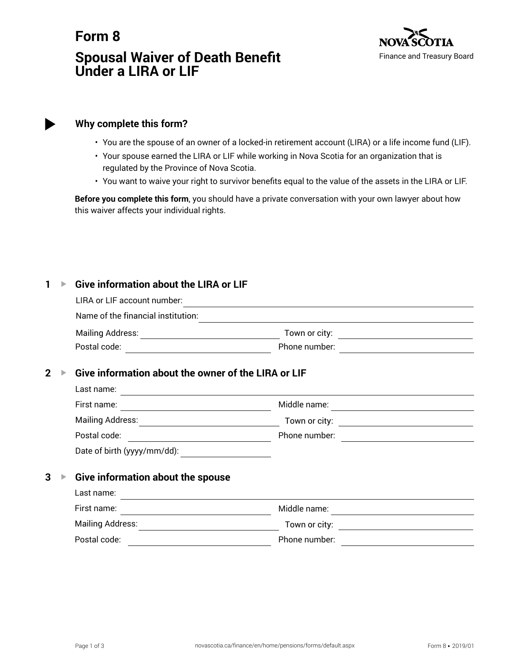# **Form 8 Spousal Waiver of Death Benefit Under a LIRA or LIF**



# **Why complete this form?**

- You are the spouse of an owner of a locked-in retirement account (LIRA) or a life income fund (LIF).
- Your spouse earned the LIRA or LIF while working in Nova Scotia for an organization that is regulated by the Province of Nova Scotia.
- You want to waive your right to survivor benefits equal to the value of the assets in the LIRA or LIF.

**Before you complete this form**, you should have a private conversation with your own lawyer about how this waiver affects your individual rights.

#### **1 ▶ Give information about the LIRA or LIF**

|                | LIRA or LIF account number:                                                         |                                                                                                                                                                                                                                      |  |  |
|----------------|-------------------------------------------------------------------------------------|--------------------------------------------------------------------------------------------------------------------------------------------------------------------------------------------------------------------------------------|--|--|
|                | Name of the financial institution:                                                  |                                                                                                                                                                                                                                      |  |  |
|                |                                                                                     |                                                                                                                                                                                                                                      |  |  |
|                | Postal code:<br><u> 1989 - Johann Stein, mars an deus Amerikaansk kommunister (</u> | Phone number:                                                                                                                                                                                                                        |  |  |
| $\overline{2}$ | Give information about the owner of the LIRA or LIF                                 |                                                                                                                                                                                                                                      |  |  |
|                | Last name:                                                                          | <u> 1989 - Johann Stein, fransk politik (d. 1989)</u>                                                                                                                                                                                |  |  |
|                | First name:                                                                         | Middle name:<br><u> 1989 - Johann Barn, mars eta bainar eta industrial eta baina eta baina eta baina eta baina eta baina eta bain</u>                                                                                                |  |  |
|                |                                                                                     |                                                                                                                                                                                                                                      |  |  |
|                | Postal code:<br><u> 1989 - Johann Barbara, martxa eta politikar</u>                 | Phone number:<br><u> 1989 - Jan Samuel Barbara, político e a f</u>                                                                                                                                                                   |  |  |
|                |                                                                                     |                                                                                                                                                                                                                                      |  |  |
| 3              | Give information about the spouse                                                   |                                                                                                                                                                                                                                      |  |  |
|                | Last name:                                                                          | <u>and the contract of the contract of the contract of the contract of the contract of the contract of the contract of the contract of the contract of the contract of the contract of the contract of the contract of the contr</u> |  |  |
|                | First name:                                                                         | Middle name:<br>the control of the control of the control of the control of                                                                                                                                                          |  |  |
|                | Mailing Address:                                                                    | Town or city:                                                                                                                                                                                                                        |  |  |
|                |                                                                                     |                                                                                                                                                                                                                                      |  |  |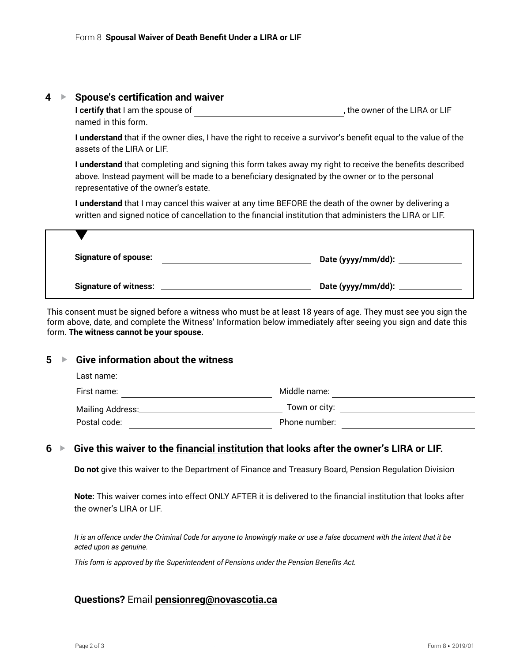#### **4** G **Spouse's certification and waiver**

**I certify that** I am the spouse of **the substitution**, the owner of the LIRA or LIF named in this form.

**I understand** that if the owner dies, I have the right to receive a survivor's benefit equal to the value of the assets of the LIRA or LIF.

**I understand** that completing and signing this form takes away my right to receive the benefits described above. Instead payment will be made to a beneficiary designated by the owner or to the personal representative of the owner's estate.

**I understand** that I may cancel this waiver at any time BEFORE the death of the owner by delivering a written and signed notice of cancellation to the financial institution that administers the LIRA or LIF.

| <b>Signature of spouse:</b>  | Date (yyyy/mm/dd): |
|------------------------------|--------------------|
| <b>Signature of witness:</b> | Date (yyyy/mm/dd): |

This consent must be signed before a witness who must be at least 18 years of age. They must see you sign the form above, date, and complete the Witness' Information below immediately after seeing you sign and date this form. **The witness cannot be your spouse.**

# **5** ▶ Give information about the witness

| Last name:       |               |  |  |  |
|------------------|---------------|--|--|--|
| First name:      | Middle name:  |  |  |  |
| Mailing Address: | Town or city: |  |  |  |
| Postal code:     | Phone number: |  |  |  |

# **6** G **Give this waiver to the financial institution that looks after the owner's LIRA or LIF.**

**Do not** give this waiver to the Department of Finance and Treasury Board, Pension Regulation Division

**Note:** This waiver comes into effect ONLY AFTER it is delivered to the financial institution that looks after the owner's LIRA or LIF.

*It is an offence under the Criminal Code for anyone to knowingly make or use a false document with the intent that it be acted upon as genuine.*

*This form is approved by the Superintendent of Pensions under the Pension Benefits Act.*

# **Questions?** Email **pensionreg@novascotia.ca**